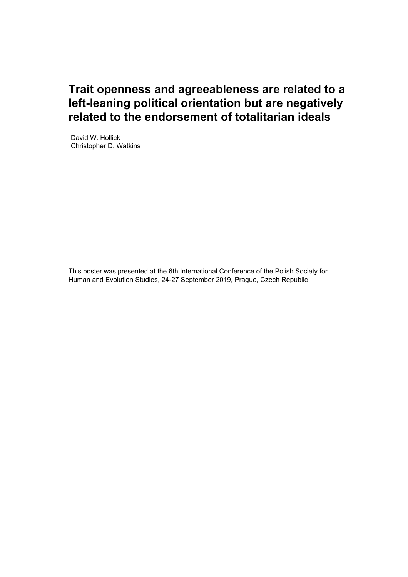# **Trait openness and agreeableness are related to a left-leaning political orientation but are negatively related to the endorsement of totalitarian ideals**

David W. Hollick Christopher D. Watkins

This poster was presented at the 6th International Conference of the Polish Society for Human and Evolution Studies, 24-27 September 2019, Prague, Czech Republic